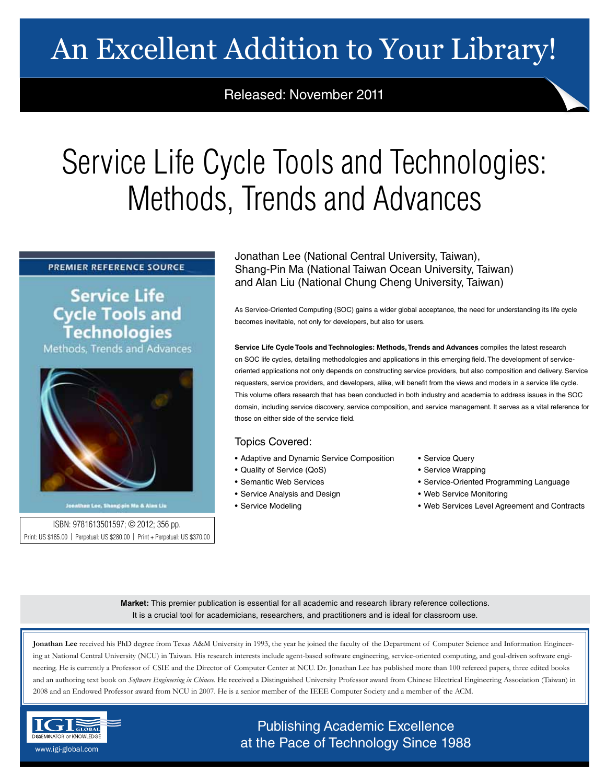# An Excellent Addition to Your Library!

# Released: November 2011

# Service Life Cycle Tools and Technologies: Methods, Trends and Advances

## PREMIER REFERENCE SOURCE

**Service Life Cycle Tools and Technologies** Methods, Trends and Advances



Jonathan Lee, Shang-pin Ma & Alan Liu

ISBN: 9781613501597; © 2012; 356 pp. Print: US \$185.00 | Perpetual: US \$280.00 | Print + Perpetual: US \$370.00 Jonathan Lee (National Central University, Taiwan), Shang-Pin Ma (National Taiwan Ocean University, Taiwan) and Alan Liu (National Chung Cheng University, Taiwan)

As Service-Oriented Computing (SOC) gains a wider global acceptance, the need for understanding its life cycle becomes inevitable, not only for developers, but also for users.

**Service Life Cycle Tools and Technologies: Methods, Trends and Advances** compiles the latest research on SOC life cycles, detailing methodologies and applications in this emerging field. The development of serviceoriented applications not only depends on constructing service providers, but also composition and delivery. Service requesters, service providers, and developers, alike, will benefit from the views and models in a service life cycle. This volume offers research that has been conducted in both industry and academia to address issues in the SOC domain, including service discovery, service composition, and service management. It serves as a vital reference for those on either side of the service field.

# Topics Covered:

- Adaptive and Dynamic Service Composition
- Quality of Service (QoS)
- Semantic Web Services
- Service Analysis and Design
- Service Modeling
- Service Query
- Service Wrapping
- Service-Oriented Programming Language
- Web Service Monitoring
- Web Services Level Agreement and Contracts

**Market:** This premier publication is essential for all academic and research library reference collections. It is a crucial tool for academicians, researchers, and practitioners and is ideal for classroom use.

**Jonathan Lee** received his PhD degree from Texas A&M University in 1993, the year he joined the faculty of the Department of Computer Science and Information Engineering at National Central University (NCU) in Taiwan. His research interests include agent-based software engineering, service-oriented computing, and goal-driven software engineering. He is currently a Professor of CSIE and the Director of Computer Center at NCU. Dr. Jonathan Lee has published more than 100 refereed papers, three edited books and an authoring text book on *Software Engineering in Chinese*. He received a Distinguished University Professor award from Chinese Electrical Engineering Association (Taiwan) in 2008 and an Endowed Professor award from NCU in 2007. He is a senior member of the IEEE Computer Society and a member of the ACM.



# Publishing Academic Excellence **DISSEMINATOR OF KNOWLEDGE at the Pace of Technology Since 1988**